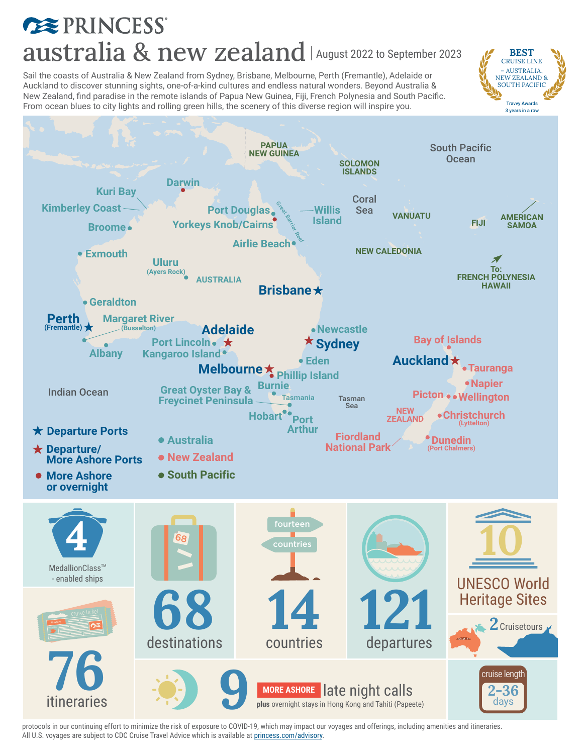# **EXPRINCESS** australia & new zealand | August 2022 to September 2023

BEST CRUISE LINE – AUSTRALIA, NEW ZEALAND & SOUTH PACIFIC Travvy Awards

Sail the coasts of Australia & New Zealand from Sydney, Brisbane, Melbourne, Perth (Fremantle), Adelaide or Auckland to discover stunning sights, one-of-a-kind cultures and endless natural wonders. Beyond Australia & New Zealand, find paradise in the remote islands of Papua New Guinea, Fiji, French Polynesia and South Pacific. From ocean blues to city lights and rolling green hills, the scenery of this diverse region will inspire you.



protocols in our continuing effort to minimize the risk of exposure to COVID-19, which may impact our voyages and offerings, including amenities and itineraries. All U.S. voyages are subject to CDC Cruise Travel Advice which is available at [princess.com/advisory.](https://www.princess.com/news/notices_and_advisories/notices/cdc-travel-advisories.html)